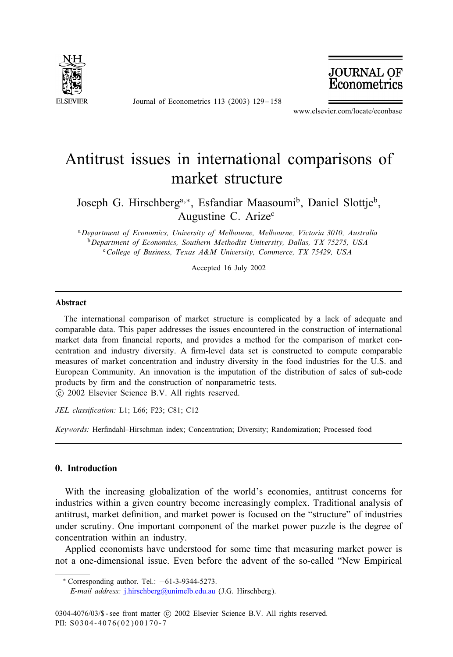

Journal of Econometrics 113 (2003) 129 – 158

**JOURNAL OF**<br>Econometrics

www.elsevier.com/locate/econbase

## Antitrust issues in international comparisons of market structure

Joseph G. Hirschberg<sup>a,∗</sup>, Esfandiar Maasoumi<sup>b</sup>, Daniel Slottje<sup>b</sup>, Augustine C. Arize<sup>c</sup>

<sup>a</sup>*Department of Economics, University of Melbourne, Melbourne, Victoria 3010, Australia* <sup>b</sup>*Department of Economics, Southern Methodist University, Dallas, TX75275, USA* <sup>c</sup>*College of Business, Texas A&M University, Commerce, TX75429, USA*

Accepted 16 July 2002

### Abstract

The international comparison of market structure is complicated by a lack of adequate and comparable data. This paper addresses the issues encountered in the construction of international market data from financial reports, and provides a method for the comparison of market concentration and industry diversity. A firm-level data set is constructed to compute comparable measures of market concentration and industry diversity in the food industries for the U.S. and European Community. An innovation is the imputation of the distribution of sales of sub-code products by firm and the construction of nonparametric tests.

c 2002 Elsevier Science B.V. All rights reserved.

JEL classification: L1; L66; F23; C81; C12

*Keywords:* Herfindahl–Hirschman index; Concentration; Diversity; Randomization; Processed food

### 0. Introduction

With the increasing globalization of the world's economies, antitrust concerns for industries within a given country become increasingly complex. Traditional analysis of antitrust, market definition, and market power is focused on the "structure" of industries under scrutiny. [One important componen](mailto:j.hirschberg@unimelb.edu.au)t of the market power puzzle is the degree of concentration within an industry.

Applied economists have understood for some time that measuring market power is not a one-dimensional issue. Even before the advent of the so-called "New Empirical

*E-mail address:* j.hirschberg@unimelb.edu.au (J.G. Hirschberg).

<sup>∗</sup> Corresponding author. Tel.: +61-3-9344-5273.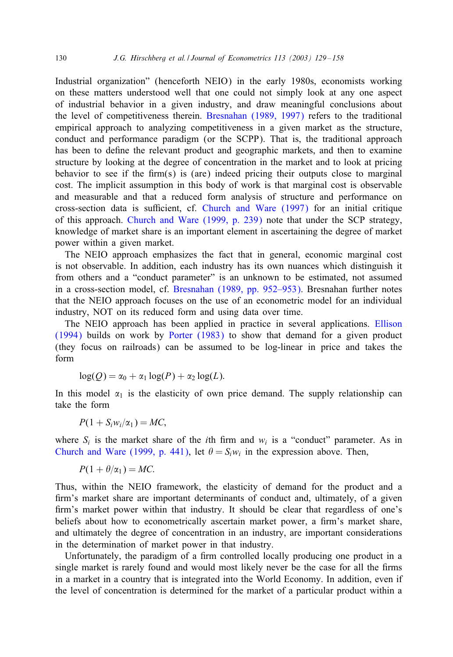#### 130 *J.G. Hirschberg et al. / Jou[rnal of Econometrics 113 \(2003](#page--1-0)) 129 – 158*

Industrial organization" (henceforth NEIO) in the early 1980s, economists working on these matters understood well that one could not simply look at any one aspect of industrial behavior in a given industry, and draw meaningful conclusions about the level of competitiveness therein. Bresnahan (1989, 1997) refers to the traditional empirical approach to analyzing competitiveness in a given market as the structure, conduct and performance paradigm (or the SCPP). That is, the traditional approach has been to define the relevant pro[duct and geographic markets](#page--1-0), and then to examine structure by looki[ng at the degree of concentration in](#page--1-0) the market and to look at pricing behavior to see if the firm(s) is (are) indeed pricing their outputs close to marginal cost. The implicit assumption in this body of work is that marginal cost is observable and measurable and that a reduced form analysis of structure and performance on cross-section data is sufficient, cf. Church and Ware (1997) for an initial critique of this approach. Church and Ware (1999, p. 239) note that under the SCP strategy, knowledge of market share is [an important element in ascertain](#page--1-0)ing the degree of market power within a given market.

The NEIO approach emphasizes the fact that in general, economic marginal cost is not observable. In addition, each industry has its own nuances which distin[guish](#page--1-0) [it](#page--1-0) [from ot](#page--1-0)hers and a "conduct [parameter" is](#page--1-0) an unknown to be estimated, not assumed in a cross-section model, cf. Bresnahan (1989, pp. 952–953). Bresnahan further notes that the NEIO approach focuses on the use of an econometric model for an individual industry, NOT on its reduced form and using data over time.

The NEIO approach has been applied in practice in several applications. Ellison (1994) builds on work by Porter (1983) to show that demand for a given product (they focus on railroads) can be assumed to be log-linear in price and takes the form

$$
\log(Q) = \alpha_0 + \alpha_1 \log(P) + \alpha_2 \log(L).
$$

In this model  $\alpha_1$  [is the elasticity](#page--1-0) of own price demand. The supply relationship can take the form

$$
P(1 + S_i w_i/\alpha_1) = MC,
$$

where  $S_i$  is the market share of the *i*th firm and  $w_i$  is a "conduct" parameter. As in Church and Ware (1999, p. 441), let  $\theta = S_i w_i$  in the expression above. Then,

$$
P(1+\theta/\alpha_1)=MC.
$$

Thus, within the NEIO framework, the elasticity of demand for the product and a firm's market share are important determinants of conduct and, ultimately, of a given firm's market power within that industry. It should be clear that regardless of one's beliefs about how to econometrically ascertain market power, a firm's market share, and ultimately the degree of concentration in an industry, are important considerations in the determination of market power in that industry.

Unfortunately, the paradigm of a firm controlled locally producing one product in a single market is rarely found and would most likely never be the case for all the firms in a market in a country that is integrated into the World Economy. In addition, even if the level of concentration is determined for the market of a particular product within a